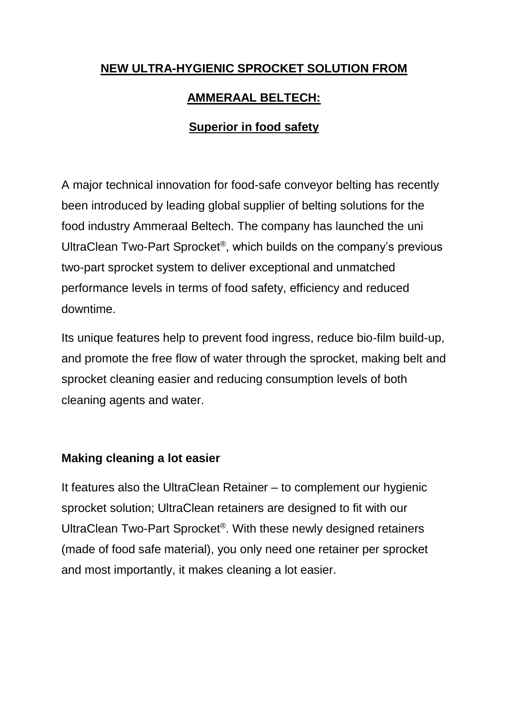### **NEW ULTRA-HYGIENIC SPROCKET SOLUTION FROM**

# **AMMERAAL BELTECH:**

## **Superior in food safety**

A major technical innovation for food-safe conveyor belting has recently been introduced by leading global supplier of belting solutions for the food industry Ammeraal Beltech. The company has launched the uni UltraClean Two-Part Sprocket® , which builds on the company's previous two-part sprocket system to deliver exceptional and unmatched performance levels in terms of food safety, efficiency and reduced downtime.

Its unique features help to prevent food ingress, reduce bio-film build-up, and promote the free flow of water through the sprocket, making belt and sprocket cleaning easier and reducing consumption levels of both cleaning agents and water.

#### **Making cleaning a lot easier**

It features also the UltraClean Retainer – to complement our hygienic sprocket solution; UltraClean retainers are designed to fit with our UltraClean Two-Part Sprocket® . With these newly designed retainers (made of food safe material), you only need one retainer per sprocket and most importantly, it makes cleaning a lot easier.